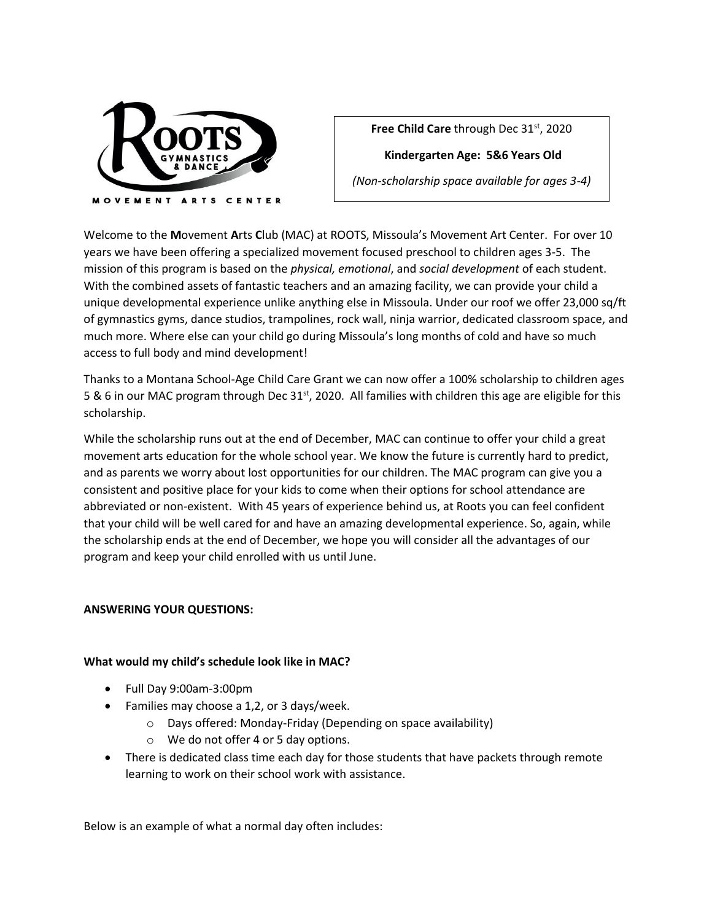

Free Child Care through Dec 31<sup>st</sup>, 2020

**Kindergarten Age: 5&6 Years Old**

*(Non-scholarship space available for ages 3-4)*

Welcome to the **M**ovement **A**rts **C**lub (MAC) at ROOTS, Missoula's Movement Art Center. For over 10 years we have been offering a specialized movement focused preschool to children ages 3-5. The mission of this program is based on the *physical, emotional*, and *social development* of each student. With the combined assets of fantastic teachers and an amazing facility, we can provide your child a unique developmental experience unlike anything else in Missoula. Under our roof we offer 23,000 sq/ft of gymnastics gyms, dance studios, trampolines, rock wall, ninja warrior, dedicated classroom space, and much more. Where else can your child go during Missoula's long months of cold and have so much access to full body and mind development!

Thanks to a Montana School-Age Child Care Grant we can now offer a 100% scholarship to children ages 5 & 6 in our MAC program through Dec 31<sup>st</sup>, 2020. All families with children this age are eligible for this scholarship.

While the scholarship runs out at the end of December, MAC can continue to offer your child a great movement arts education for the whole school year. We know the future is currently hard to predict, and as parents we worry about lost opportunities for our children. The MAC program can give you a consistent and positive place for your kids to come when their options for school attendance are abbreviated or non-existent. With 45 years of experience behind us, at Roots you can feel confident that your child will be well cared for and have an amazing developmental experience. So, again, while the scholarship ends at the end of December, we hope you will consider all the advantages of our program and keep your child enrolled with us until June.

## **ANSWERING YOUR QUESTIONS:**

## **What would my child's schedule look like in MAC?**

- Full Day 9:00am-3:00pm
- Families may choose a 1,2, or 3 days/week.
	- o Days offered: Monday-Friday (Depending on space availability)
	- o We do not offer 4 or 5 day options.
- There is dedicated class time each day for those students that have packets through remote learning to work on their school work with assistance.

Below is an example of what a normal day often includes: